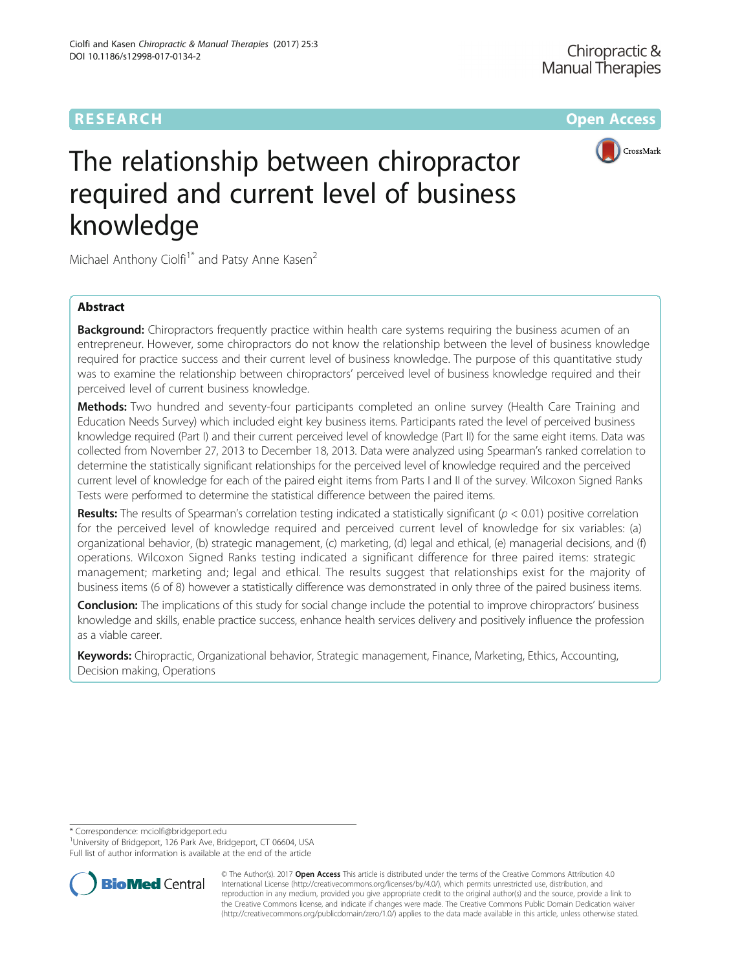# **RESEARCH CHE Open Access**



# The relationship between chiropractor required and current level of business knowledge

Michael Anthony Ciolfi<sup>1\*</sup> and Patsy Anne Kasen<sup>2</sup>

# Abstract

**Background:** Chiropractors frequently practice within health care systems requiring the business acumen of an entrepreneur. However, some chiropractors do not know the relationship between the level of business knowledge required for practice success and their current level of business knowledge. The purpose of this quantitative study was to examine the relationship between chiropractors' perceived level of business knowledge required and their perceived level of current business knowledge.

Methods: Two hundred and seventy-four participants completed an online survey (Health Care Training and Education Needs Survey) which included eight key business items. Participants rated the level of perceived business knowledge required (Part I) and their current perceived level of knowledge (Part II) for the same eight items. Data was collected from November 27, 2013 to December 18, 2013. Data were analyzed using Spearman's ranked correlation to determine the statistically significant relationships for the perceived level of knowledge required and the perceived current level of knowledge for each of the paired eight items from Parts I and II of the survey. Wilcoxon Signed Ranks Tests were performed to determine the statistical difference between the paired items.

**Results:** The results of Spearman's correlation testing indicated a statistically significant ( $p < 0.01$ ) positive correlation for the perceived level of knowledge required and perceived current level of knowledge for six variables: (a) organizational behavior, (b) strategic management, (c) marketing, (d) legal and ethical, (e) managerial decisions, and (f) operations. Wilcoxon Signed Ranks testing indicated a significant difference for three paired items: strategic management; marketing and; legal and ethical. The results suggest that relationships exist for the majority of business items (6 of 8) however a statistically difference was demonstrated in only three of the paired business items.

**Conclusion:** The implications of this study for social change include the potential to improve chiropractors' business knowledge and skills, enable practice success, enhance health services delivery and positively influence the profession as a viable career.

Keywords: Chiropractic, Organizational behavior, Strategic management, Finance, Marketing, Ethics, Accounting, Decision making, Operations

\* Correspondence: [mciolfi@bridgeport.edu](mailto:mciolfi@bridgeport.edu) <sup>1</sup>

<sup>1</sup> University of Bridgeport, 126 Park Ave, Bridgeport, CT 06604, USA Full list of author information is available at the end of the article



© The Author(s). 2017 **Open Access** This article is distributed under the terms of the Creative Commons Attribution 4.0 International License [\(http://creativecommons.org/licenses/by/4.0/](http://creativecommons.org/licenses/by/4.0/)), which permits unrestricted use, distribution, and reproduction in any medium, provided you give appropriate credit to the original author(s) and the source, provide a link to the Creative Commons license, and indicate if changes were made. The Creative Commons Public Domain Dedication waiver [\(http://creativecommons.org/publicdomain/zero/1.0/](http://creativecommons.org/publicdomain/zero/1.0/)) applies to the data made available in this article, unless otherwise stated.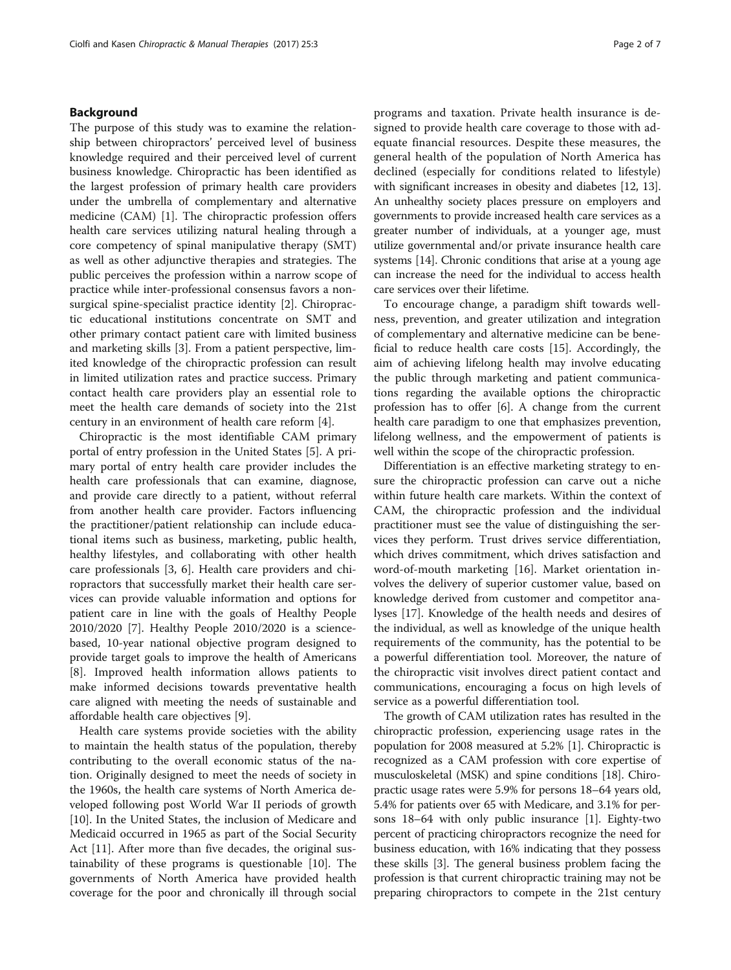## Background

The purpose of this study was to examine the relationship between chiropractors' perceived level of business knowledge required and their perceived level of current business knowledge. Chiropractic has been identified as the largest profession of primary health care providers under the umbrella of complementary and alternative medicine (CAM) [\[1](#page-6-0)]. The chiropractic profession offers health care services utilizing natural healing through a core competency of spinal manipulative therapy (SMT) as well as other adjunctive therapies and strategies. The public perceives the profession within a narrow scope of practice while inter-professional consensus favors a nonsurgical spine-specialist practice identity [[2\]](#page-6-0). Chiropractic educational institutions concentrate on SMT and other primary contact patient care with limited business and marketing skills [[3](#page-6-0)]. From a patient perspective, limited knowledge of the chiropractic profession can result in limited utilization rates and practice success. Primary contact health care providers play an essential role to meet the health care demands of society into the 21st century in an environment of health care reform [\[4](#page-6-0)].

Chiropractic is the most identifiable CAM primary portal of entry profession in the United States [\[5](#page-6-0)]. A primary portal of entry health care provider includes the health care professionals that can examine, diagnose, and provide care directly to a patient, without referral from another health care provider. Factors influencing the practitioner/patient relationship can include educational items such as business, marketing, public health, healthy lifestyles, and collaborating with other health care professionals [\[3, 6\]](#page-6-0). Health care providers and chiropractors that successfully market their health care services can provide valuable information and options for patient care in line with the goals of Healthy People 2010/2020 [\[7](#page-6-0)]. Healthy People 2010/2020 is a sciencebased, 10-year national objective program designed to provide target goals to improve the health of Americans [[8\]](#page-6-0). Improved health information allows patients to make informed decisions towards preventative health care aligned with meeting the needs of sustainable and affordable health care objectives [\[9](#page-6-0)].

Health care systems provide societies with the ability to maintain the health status of the population, thereby contributing to the overall economic status of the nation. Originally designed to meet the needs of society in the 1960s, the health care systems of North America developed following post World War II periods of growth [[10\]](#page-6-0). In the United States, the inclusion of Medicare and Medicaid occurred in 1965 as part of the Social Security Act [[11\]](#page-6-0). After more than five decades, the original sustainability of these programs is questionable [\[10](#page-6-0)]. The governments of North America have provided health coverage for the poor and chronically ill through social programs and taxation. Private health insurance is designed to provide health care coverage to those with adequate financial resources. Despite these measures, the general health of the population of North America has declined (especially for conditions related to lifestyle) with significant increases in obesity and diabetes [[12](#page-6-0), [13](#page-6-0)]. An unhealthy society places pressure on employers and governments to provide increased health care services as a greater number of individuals, at a younger age, must utilize governmental and/or private insurance health care systems [[14](#page-6-0)]. Chronic conditions that arise at a young age can increase the need for the individual to access health care services over their lifetime.

To encourage change, a paradigm shift towards wellness, prevention, and greater utilization and integration of complementary and alternative medicine can be beneficial to reduce health care costs [[15\]](#page-6-0). Accordingly, the aim of achieving lifelong health may involve educating the public through marketing and patient communications regarding the available options the chiropractic profession has to offer [\[6](#page-6-0)]. A change from the current health care paradigm to one that emphasizes prevention, lifelong wellness, and the empowerment of patients is well within the scope of the chiropractic profession.

Differentiation is an effective marketing strategy to ensure the chiropractic profession can carve out a niche within future health care markets. Within the context of CAM, the chiropractic profession and the individual practitioner must see the value of distinguishing the services they perform. Trust drives service differentiation, which drives commitment, which drives satisfaction and word-of-mouth marketing [\[16](#page-6-0)]. Market orientation involves the delivery of superior customer value, based on knowledge derived from customer and competitor analyses [\[17](#page-6-0)]. Knowledge of the health needs and desires of the individual, as well as knowledge of the unique health requirements of the community, has the potential to be a powerful differentiation tool. Moreover, the nature of the chiropractic visit involves direct patient contact and communications, encouraging a focus on high levels of service as a powerful differentiation tool.

The growth of CAM utilization rates has resulted in the chiropractic profession, experiencing usage rates in the population for 2008 measured at 5.2% [[1\]](#page-6-0). Chiropractic is recognized as a CAM profession with core expertise of musculoskeletal (MSK) and spine conditions [[18](#page-6-0)]. Chiropractic usage rates were 5.9% for persons 18–64 years old, 5.4% for patients over 65 with Medicare, and 3.1% for persons 18–64 with only public insurance [[1\]](#page-6-0). Eighty-two percent of practicing chiropractors recognize the need for business education, with 16% indicating that they possess these skills [\[3\]](#page-6-0). The general business problem facing the profession is that current chiropractic training may not be preparing chiropractors to compete in the 21st century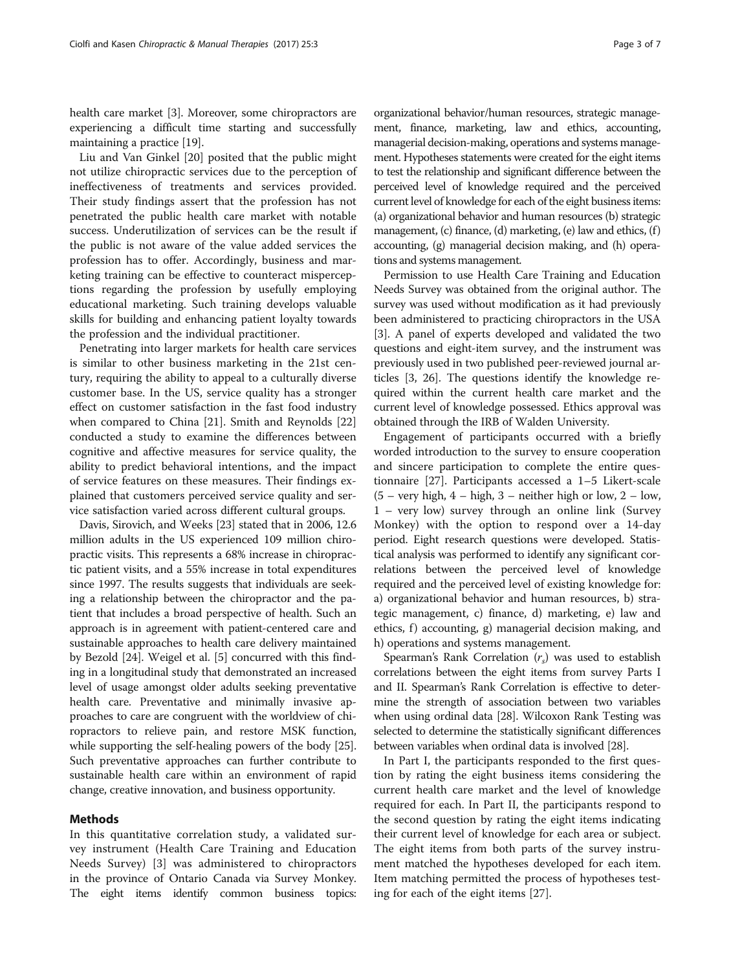health care market [\[3](#page-6-0)]. Moreover, some chiropractors are experiencing a difficult time starting and successfully maintaining a practice [\[19\]](#page-6-0).

Liu and Van Ginkel [\[20\]](#page-6-0) posited that the public might not utilize chiropractic services due to the perception of ineffectiveness of treatments and services provided. Their study findings assert that the profession has not penetrated the public health care market with notable success. Underutilization of services can be the result if the public is not aware of the value added services the profession has to offer. Accordingly, business and marketing training can be effective to counteract misperceptions regarding the profession by usefully employing educational marketing. Such training develops valuable skills for building and enhancing patient loyalty towards the profession and the individual practitioner.

Penetrating into larger markets for health care services is similar to other business marketing in the 21st century, requiring the ability to appeal to a culturally diverse customer base. In the US, service quality has a stronger effect on customer satisfaction in the fast food industry when compared to China [\[21\]](#page-6-0). Smith and Reynolds [[22](#page-6-0)] conducted a study to examine the differences between cognitive and affective measures for service quality, the ability to predict behavioral intentions, and the impact of service features on these measures. Their findings explained that customers perceived service quality and service satisfaction varied across different cultural groups.

Davis, Sirovich, and Weeks [\[23\]](#page-6-0) stated that in 2006, 12.6 million adults in the US experienced 109 million chiropractic visits. This represents a 68% increase in chiropractic patient visits, and a 55% increase in total expenditures since 1997. The results suggests that individuals are seeking a relationship between the chiropractor and the patient that includes a broad perspective of health. Such an approach is in agreement with patient-centered care and sustainable approaches to health care delivery maintained by Bezold [[24](#page-6-0)]. Weigel et al. [[5](#page-6-0)] concurred with this finding in a longitudinal study that demonstrated an increased level of usage amongst older adults seeking preventative health care. Preventative and minimally invasive approaches to care are congruent with the worldview of chiropractors to relieve pain, and restore MSK function, while supporting the self-healing powers of the body [[25](#page-6-0)]. Such preventative approaches can further contribute to sustainable health care within an environment of rapid change, creative innovation, and business opportunity.

#### Methods

In this quantitative correlation study, a validated survey instrument (Health Care Training and Education Needs Survey) [[3\]](#page-6-0) was administered to chiropractors in the province of Ontario Canada via Survey Monkey. The eight items identify common business topics:

organizational behavior/human resources, strategic management, finance, marketing, law and ethics, accounting, managerial decision-making, operations and systems management. Hypotheses statements were created for the eight items to test the relationship and significant difference between the perceived level of knowledge required and the perceived current level of knowledge for each of the eight business items: (a) organizational behavior and human resources (b) strategic management, (c) finance, (d) marketing, (e) law and ethics, (f) accounting, (g) managerial decision making, and (h) operations and systems management.

Permission to use Health Care Training and Education Needs Survey was obtained from the original author. The survey was used without modification as it had previously been administered to practicing chiropractors in the USA [[3\]](#page-6-0). A panel of experts developed and validated the two questions and eight-item survey, and the instrument was previously used in two published peer-reviewed journal articles [[3, 26](#page-6-0)]. The questions identify the knowledge required within the current health care market and the current level of knowledge possessed. Ethics approval was obtained through the IRB of Walden University.

Engagement of participants occurred with a briefly worded introduction to the survey to ensure cooperation and sincere participation to complete the entire questionnaire [\[27](#page-6-0)]. Participants accessed a 1–5 Likert-scale  $(5 - \text{very high}, 4 - \text{high}, 3 - \text{neither high or low}, 2 - \text{low},$ 1 – very low) survey through an online link (Survey Monkey) with the option to respond over a 14-day period. Eight research questions were developed. Statistical analysis was performed to identify any significant correlations between the perceived level of knowledge required and the perceived level of existing knowledge for: a) organizational behavior and human resources, b) strategic management, c) finance, d) marketing, e) law and ethics, f) accounting, g) managerial decision making, and h) operations and systems management.

Spearman's Rank Correlation  $(r<sub>s</sub>)$  was used to establish correlations between the eight items from survey Parts I and II. Spearman's Rank Correlation is effective to determine the strength of association between two variables when using ordinal data [\[28](#page-6-0)]. Wilcoxon Rank Testing was selected to determine the statistically significant differences between variables when ordinal data is involved [\[28](#page-6-0)].

In Part I, the participants responded to the first question by rating the eight business items considering the current health care market and the level of knowledge required for each. In Part II, the participants respond to the second question by rating the eight items indicating their current level of knowledge for each area or subject. The eight items from both parts of the survey instrument matched the hypotheses developed for each item. Item matching permitted the process of hypotheses testing for each of the eight items [\[27](#page-6-0)].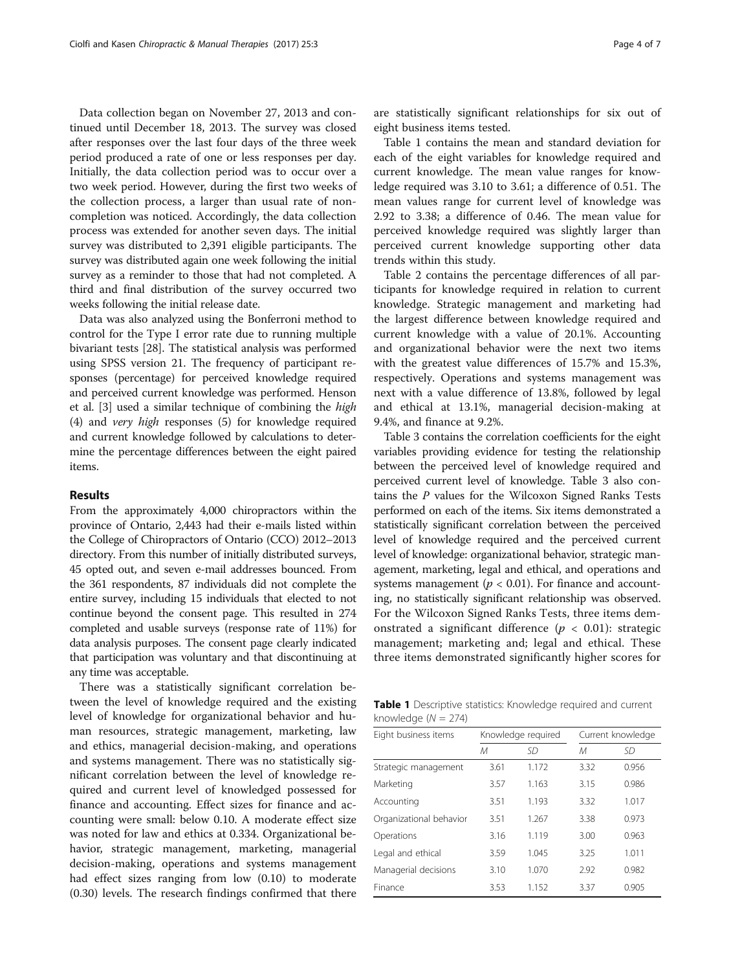Data collection began on November 27, 2013 and continued until December 18, 2013. The survey was closed after responses over the last four days of the three week period produced a rate of one or less responses per day. Initially, the data collection period was to occur over a two week period. However, during the first two weeks of the collection process, a larger than usual rate of noncompletion was noticed. Accordingly, the data collection process was extended for another seven days. The initial survey was distributed to 2,391 eligible participants. The survey was distributed again one week following the initial survey as a reminder to those that had not completed. A third and final distribution of the survey occurred two weeks following the initial release date.

Data was also analyzed using the Bonferroni method to control for the Type I error rate due to running multiple bivariant tests [\[28\]](#page-6-0). The statistical analysis was performed using SPSS version 21. The frequency of participant responses (percentage) for perceived knowledge required and perceived current knowledge was performed. Henson et al. [\[3](#page-6-0)] used a similar technique of combining the high (4) and very high responses (5) for knowledge required and current knowledge followed by calculations to determine the percentage differences between the eight paired items.

## Results

From the approximately 4,000 chiropractors within the province of Ontario, 2,443 had their e-mails listed within the College of Chiropractors of Ontario (CCO) 2012–2013 directory. From this number of initially distributed surveys, 45 opted out, and seven e-mail addresses bounced. From the 361 respondents, 87 individuals did not complete the entire survey, including 15 individuals that elected to not continue beyond the consent page. This resulted in 274 completed and usable surveys (response rate of 11%) for data analysis purposes. The consent page clearly indicated that participation was voluntary and that discontinuing at any time was acceptable.

There was a statistically significant correlation between the level of knowledge required and the existing level of knowledge for organizational behavior and human resources, strategic management, marketing, law and ethics, managerial decision-making, and operations and systems management. There was no statistically significant correlation between the level of knowledge required and current level of knowledged possessed for finance and accounting. Effect sizes for finance and accounting were small: below 0.10. A moderate effect size was noted for law and ethics at 0.334. Organizational behavior, strategic management, marketing, managerial decision-making, operations and systems management had effect sizes ranging from low (0.10) to moderate (0.30) levels. The research findings confirmed that there are statistically significant relationships for six out of eight business items tested.

Table 1 contains the mean and standard deviation for each of the eight variables for knowledge required and current knowledge. The mean value ranges for knowledge required was 3.10 to 3.61; a difference of 0.51. The mean values range for current level of knowledge was 2.92 to 3.38; a difference of 0.46. The mean value for perceived knowledge required was slightly larger than perceived current knowledge supporting other data trends within this study.

Table [2](#page-4-0) contains the percentage differences of all participants for knowledge required in relation to current knowledge. Strategic management and marketing had the largest difference between knowledge required and current knowledge with a value of 20.1%. Accounting and organizational behavior were the next two items with the greatest value differences of 15.7% and 15.3%, respectively. Operations and systems management was next with a value difference of 13.8%, followed by legal and ethical at 13.1%, managerial decision-making at 9.4%, and finance at 9.2%.

Table [3](#page-4-0) contains the correlation coefficients for the eight variables providing evidence for testing the relationship between the perceived level of knowledge required and perceived current level of knowledge. Table [3](#page-4-0) also contains the P values for the Wilcoxon Signed Ranks Tests performed on each of the items. Six items demonstrated a statistically significant correlation between the perceived level of knowledge required and the perceived current level of knowledge: organizational behavior, strategic management, marketing, legal and ethical, and operations and systems management ( $p < 0.01$ ). For finance and accounting, no statistically significant relationship was observed. For the Wilcoxon Signed Ranks Tests, three items demonstrated a significant difference ( $p < 0.01$ ): strategic management; marketing and; legal and ethical. These three items demonstrated significantly higher scores for

Table 1 Descriptive statistics: Knowledge required and current knowledge  $(N = 274)$ 

| Eight business items    | Knowledge required |       | Current knowledge |           |
|-------------------------|--------------------|-------|-------------------|-----------|
|                         | М                  | SD    | M                 | <b>SD</b> |
| Strategic management    | 3.61               | 1.172 | 3.32              | 0.956     |
| Marketing               | 3.57               | 1.163 | 3.15              | 0.986     |
| Accounting              | 3.51               | 1.193 | 3.32              | 1.017     |
| Organizational behavior | 3.51               | 1.267 | 3.38              | 0.973     |
| Operations              | 3.16               | 1.119 | 3.00              | 0.963     |
| Legal and ethical       | 3.59               | 1.045 | 3.25              | 1.011     |
| Managerial decisions    | 3.10               | 1.070 | 2.92              | 0.982     |
| Finance                 | 3.53               | 1.152 | 3.37              | 0.905     |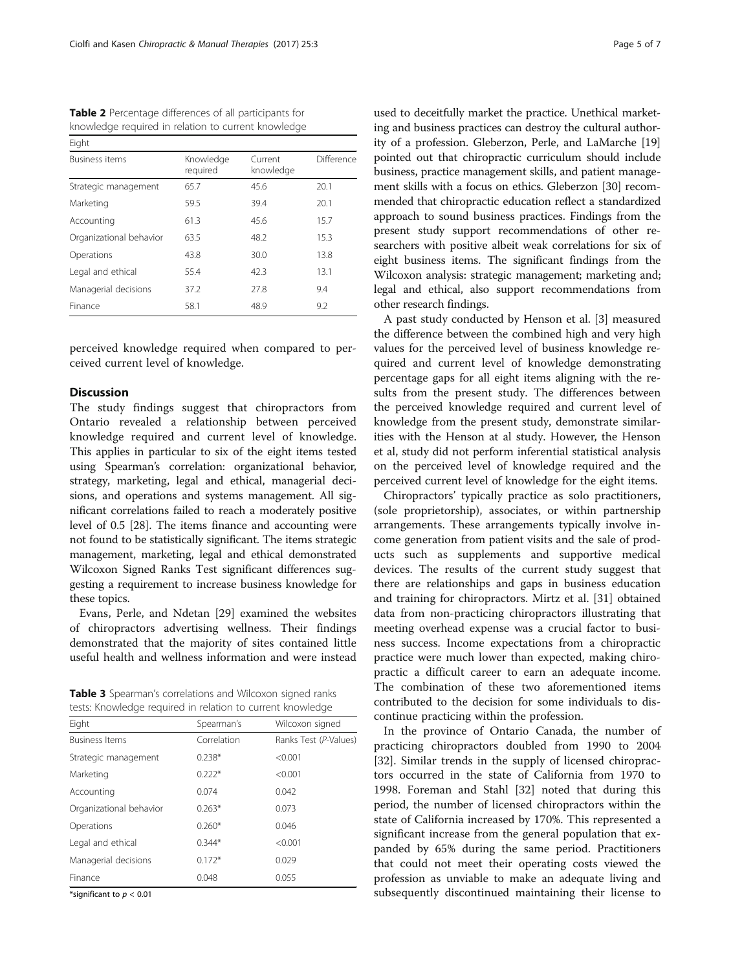<span id="page-4-0"></span>Table 2 Percentage differences of all participants for knowledge required in relation to current knowledge

| Eight                   |                       |                      |            |  |  |
|-------------------------|-----------------------|----------------------|------------|--|--|
| <b>Business items</b>   | Knowledge<br>required | Current<br>knowledge | Difference |  |  |
| Strategic management    | 65.7                  | 45.6                 | 20.1       |  |  |
| Marketing               | 59.5                  | 39.4                 | 20.1       |  |  |
| Accounting              | 61.3                  | 45.6                 | 15.7       |  |  |
| Organizational behavior | 63.5                  | 48.2                 | 15.3       |  |  |
| Operations              | 43.8                  | 30.0                 | 13.8       |  |  |
| Legal and ethical       | 55.4                  | 42.3                 | 13.1       |  |  |
| Managerial decisions    | 37.2                  | 27.8                 | 9.4        |  |  |
| Finance                 | 58.1                  | 48.9                 | 9.2        |  |  |

perceived knowledge required when compared to perceived current level of knowledge.

## Discussion

The study findings suggest that chiropractors from Ontario revealed a relationship between perceived knowledge required and current level of knowledge. This applies in particular to six of the eight items tested using Spearman's correlation: organizational behavior, strategy, marketing, legal and ethical, managerial decisions, and operations and systems management. All significant correlations failed to reach a moderately positive level of 0.5 [[28](#page-6-0)]. The items finance and accounting were not found to be statistically significant. The items strategic management, marketing, legal and ethical demonstrated Wilcoxon Signed Ranks Test significant differences suggesting a requirement to increase business knowledge for these topics.

Evans, Perle, and Ndetan [\[29](#page-6-0)] examined the websites of chiropractors advertising wellness. Their findings demonstrated that the majority of sites contained little useful health and wellness information and were instead

Table 3 Spearman's correlations and Wilcoxon signed ranks tests: Knowledge required in relation to current knowledge

| costs. Information comet in Telacion to canent information |             |                       |  |  |  |
|------------------------------------------------------------|-------------|-----------------------|--|--|--|
| Eight                                                      | Spearman's  | Wilcoxon signed       |  |  |  |
| <b>Business Items</b>                                      | Correlation | Ranks Test (P-Values) |  |  |  |
| Strategic management                                       | $0.238*$    | < 0.001               |  |  |  |
| Marketing                                                  | $0.222*$    | < 0.001               |  |  |  |
| Accounting                                                 | 0.074       | 0.042                 |  |  |  |
| Organizational behavior                                    | $0.263*$    | 0.073                 |  |  |  |
| Operations                                                 | $0.260*$    | 0.046                 |  |  |  |
| Legal and ethical                                          | $0.344*$    | < 0.001               |  |  |  |
| Managerial decisions                                       | $0.172*$    | 0.029                 |  |  |  |
| Finance                                                    | 0.048       | 0.055                 |  |  |  |

\*significant to  $p < 0.01$ 

used to deceitfully market the practice. Unethical marketing and business practices can destroy the cultural authority of a profession. Gleberzon, Perle, and LaMarche [[19](#page-6-0)] pointed out that chiropractic curriculum should include business, practice management skills, and patient management skills with a focus on ethics. Gleberzon [[30](#page-6-0)] recommended that chiropractic education reflect a standardized approach to sound business practices. Findings from the present study support recommendations of other researchers with positive albeit weak correlations for six of eight business items. The significant findings from the Wilcoxon analysis: strategic management; marketing and; legal and ethical, also support recommendations from other research findings.

A past study conducted by Henson et al. [[3\]](#page-6-0) measured the difference between the combined high and very high values for the perceived level of business knowledge required and current level of knowledge demonstrating percentage gaps for all eight items aligning with the results from the present study. The differences between the perceived knowledge required and current level of knowledge from the present study, demonstrate similarities with the Henson at al study. However, the Henson et al, study did not perform inferential statistical analysis on the perceived level of knowledge required and the perceived current level of knowledge for the eight items.

Chiropractors' typically practice as solo practitioners, (sole proprietorship), associates, or within partnership arrangements. These arrangements typically involve income generation from patient visits and the sale of products such as supplements and supportive medical devices. The results of the current study suggest that there are relationships and gaps in business education and training for chiropractors. Mirtz et al. [[31\]](#page-6-0) obtained data from non-practicing chiropractors illustrating that meeting overhead expense was a crucial factor to business success. Income expectations from a chiropractic practice were much lower than expected, making chiropractic a difficult career to earn an adequate income. The combination of these two aforementioned items contributed to the decision for some individuals to discontinue practicing within the profession.

In the province of Ontario Canada, the number of practicing chiropractors doubled from 1990 to 2004 [[32\]](#page-6-0). Similar trends in the supply of licensed chiropractors occurred in the state of California from 1970 to 1998. Foreman and Stahl [[32\]](#page-6-0) noted that during this period, the number of licensed chiropractors within the state of California increased by 170%. This represented a significant increase from the general population that expanded by 65% during the same period. Practitioners that could not meet their operating costs viewed the profession as unviable to make an adequate living and subsequently discontinued maintaining their license to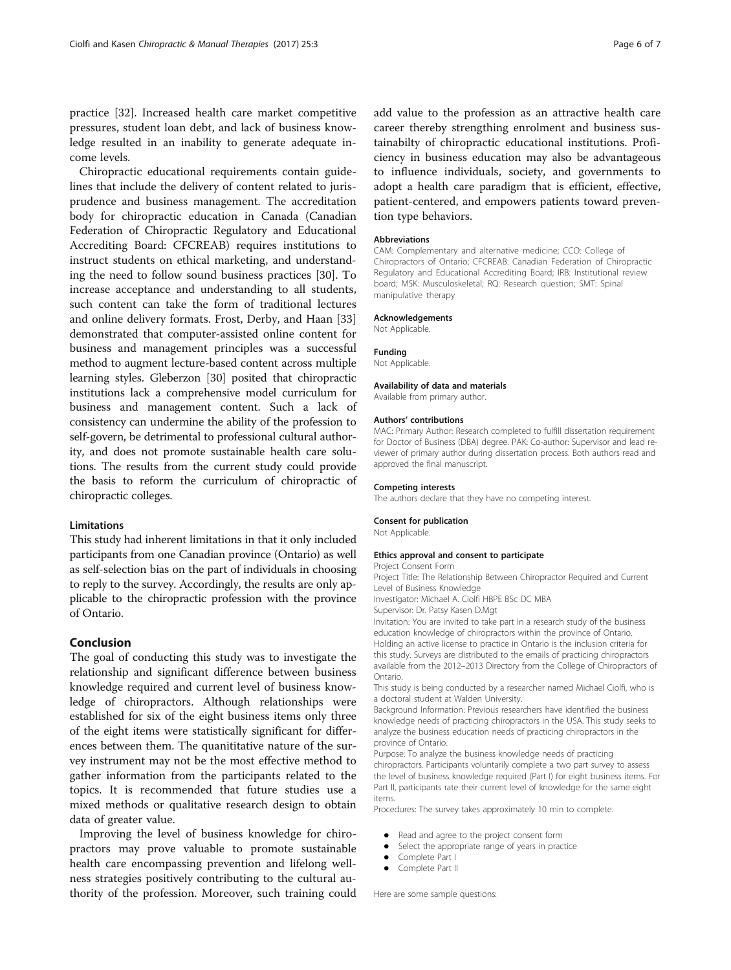practice [\[32](#page-6-0)]. Increased health care market competitive pressures, student loan debt, and lack of business knowledge resulted in an inability to generate adequate income levels.

Chiropractic educational requirements contain guidelines that include the delivery of content related to jurisprudence and business management. The accreditation body for chiropractic education in Canada (Canadian Federation of Chiropractic Regulatory and Educational Accrediting Board: CFCREAB) requires institutions to instruct students on ethical marketing, and understanding the need to follow sound business practices [\[30](#page-6-0)]. To increase acceptance and understanding to all students, such content can take the form of traditional lectures and online delivery formats. Frost, Derby, and Haan [[33](#page-6-0)] demonstrated that computer-assisted online content for business and management principles was a successful method to augment lecture-based content across multiple learning styles. Gleberzon [\[30\]](#page-6-0) posited that chiropractic institutions lack a comprehensive model curriculum for business and management content. Such a lack of consistency can undermine the ability of the profession to self-govern, be detrimental to professional cultural authority, and does not promote sustainable health care solutions. The results from the current study could provide the basis to reform the curriculum of chiropractic of chiropractic colleges.

# **Limitations**

This study had inherent limitations in that it only included participants from one Canadian province (Ontario) as well as self-selection bias on the part of individuals in choosing to reply to the survey. Accordingly, the results are only applicable to the chiropractic profession with the province of Ontario.

#### Conclusion

The goal of conducting this study was to investigate the relationship and significant difference between business knowledge required and current level of business knowledge of chiropractors. Although relationships were established for six of the eight business items only three of the eight items were statistically significant for differences between them. The quanititative nature of the survey instrument may not be the most effective method to gather information from the participants related to the topics. It is recommended that future studies use a mixed methods or qualitative research design to obtain data of greater value.

Improving the level of business knowledge for chiropractors may prove valuable to promote sustainable health care encompassing prevention and lifelong wellness strategies positively contributing to the cultural authority of the profession. Moreover, such training could add value to the profession as an attractive health care career thereby strengthing enrolment and business sustainabilty of chiropractic educational institutions. Proficiency in business education may also be advantageous to influence individuals, society, and governments to adopt a health care paradigm that is efficient, effective, patient-centered, and empowers patients toward prevention type behaviors.

#### Abbreviations

CAM: Complementary and alternative medicine; CCO: College of Chiropractors of Ontario; CFCREAB: Canadian Federation of Chiropractic Regulatory and Educational Accrediting Board; IRB: Institutional review board; MSK: Musculoskeletal; RQ: Research question; SMT: Spinal manipulative therapy

#### Acknowledgements

Not Applicable.

#### Funding

Not Applicable.

#### Availability of data and materials

Available from primary author.

#### Authors' contributions

MAC: Primary Author: Research completed to fulfill dissertation requirement for Doctor of Business (DBA) degree. PAK: Co-author: Supervisor and lead reviewer of primary author during dissertation process. Both authors read and approved the final manuscript.

# Competing interests

The authors declare that they have no competing interest.

#### Consent for publication

Not Applicable.

#### Ethics approval and consent to participate

Project Consent Form

Project Title: The Relationship Between Chiropractor Required and Current Level of Business Knowledge

Investigator: Michael A. Ciolfi HBPE BSc DC MBA

Supervisor: Dr. Patsy Kasen D.Mgt

Invitation: You are invited to take part in a research study of the business education knowledge of chiropractors within the province of Ontario. Holding an active license to practice in Ontario is the inclusion criteria for this study. Surveys are distributed to the emails of practicing chiropractors available from the 2012–2013 Directory from the College of Chiropractors of Ontario.

This study is being conducted by a researcher named Michael Ciolfi, who is a doctoral student at Walden University.

Background Information: Previous researchers have identified the business knowledge needs of practicing chiropractors in the USA. This study seeks to analyze the business education needs of practicing chiropractors in the province of Ontario.

Purpose: To analyze the business knowledge needs of practicing chiropractors. Participants voluntarily complete a two part survey to assess the level of business knowledge required (Part I) for eight business items. For Part II, participants rate their current level of knowledge for the same eight items.

Procedures: The survey takes approximately 10 min to complete.

- Read and agree to the project consent form<br>• Select the appropriate range of years in prac
- Select the appropriate range of years in practice<br>• Complete Part I
- Complete Part I
- Complete Part II

Here are some sample questions: